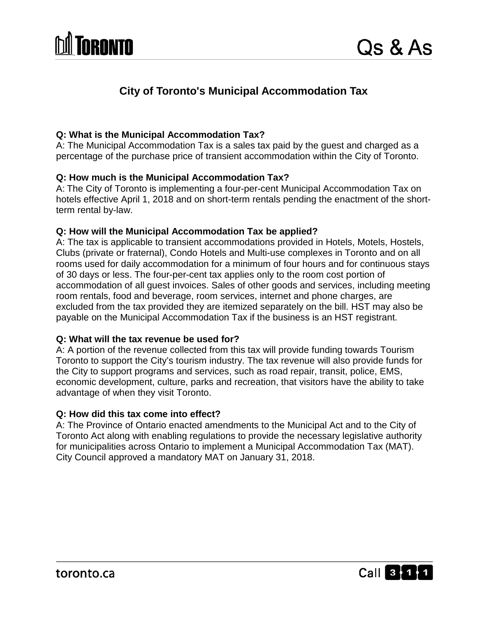

# **City of Toronto's Municipal Accommodation Tax**

### **Q: What is the Municipal Accommodation Tax?**

A: The Municipal Accommodation Tax is a sales tax paid by the guest and charged as a percentage of the purchase price of transient accommodation within the City of Toronto.

#### **Q: How much is the Municipal Accommodation Tax?**

A: The City of Toronto is implementing a four-per-cent Municipal Accommodation Tax on hotels effective April 1, 2018 and on short-term rentals pending the enactment of the shortterm rental by-law.

#### **Q: How will the Municipal Accommodation Tax be applied?**

A: The tax is applicable to transient accommodations provided in Hotels, Motels, Hostels, Clubs (private or fraternal), Condo Hotels and Multi-use complexes in Toronto and on all rooms used for daily accommodation for a minimum of four hours and for continuous stays of 30 days or less. The four-per-cent tax applies only to the room cost portion of accommodation of all guest invoices. Sales of other goods and services, including meeting room rentals, food and beverage, room services, internet and phone charges, are excluded from the tax provided they are itemized separately on the bill. HST may also be payable on the Municipal Accommodation Tax if the business is an HST registrant.

#### **Q: What will the tax revenue be used for?**

A: A portion of the revenue collected from this tax will provide funding towards Tourism Toronto to support the City's tourism industry. The tax revenue will also provide funds for the City to support programs and services, such as road repair, transit, police, EMS, economic development, culture, parks and recreation, that visitors have the ability to take advantage of when they visit Toronto.

#### **Q: How did this tax come into effect?**

A: The Province of Ontario enacted amendments to the Municipal Act and to the City of Toronto Act along with enabling regulations to provide the necessary legislative authority for municipalities across Ontario to implement a Municipal Accommodation Tax (MAT). City Council approved a mandatory MAT on January 31, 2018.

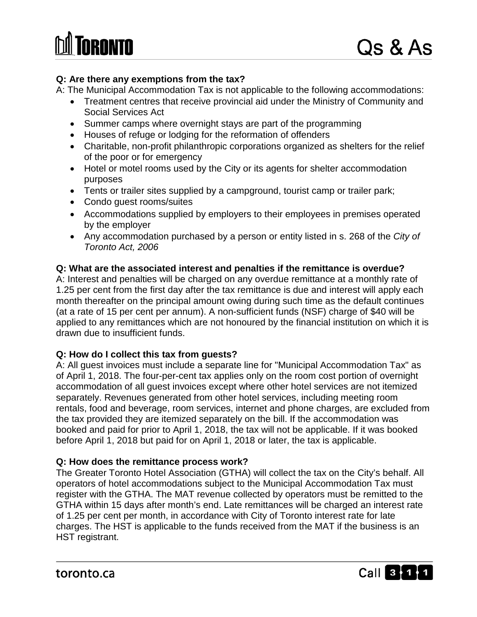# **Q: Are there any exemptions from the tax?**

A: The Municipal Accommodation Tax is not applicable to the following accommodations:

- Treatment centres that receive provincial aid under the Ministry of Community and Social Services Act
- Summer camps where overnight stays are part of the programming
- Houses of refuge or lodging for the reformation of offenders
- Charitable, non-profit philanthropic corporations organized as shelters for the relief of the poor or for emergency
- Hotel or motel rooms used by the City or its agents for shelter accommodation purposes
- Tents or trailer sites supplied by a campground, tourist camp or trailer park;
- Condo guest rooms/suites
- Accommodations supplied by employers to their employees in premises operated by the employer
- Any accommodation purchased by a person or entity listed in s. 268 of the *City of Toronto Act, 2006*

# **Q: What are the associated interest and penalties if the remittance is overdue?**

A: Interest and penalties will be charged on any overdue remittance at a monthly rate of 1.25 per cent from the first day after the tax remittance is due and interest will apply each month thereafter on the principal amount owing during such time as the default continues (at a rate of 15 per cent per annum). A non-sufficient funds (NSF) charge of \$40 will be applied to any remittances which are not honoured by the financial institution on which it is drawn due to insufficient funds.

# **Q: How do I collect this tax from guests?**

A: All guest invoices must include a separate line for "Municipal Accommodation Tax" as of April 1, 2018. The four-per-cent tax applies only on the room cost portion of overnight accommodation of all guest invoices except where other hotel services are not itemized separately. Revenues generated from other hotel services, including meeting room rentals, food and beverage, room services, internet and phone charges, are excluded from the tax provided they are itemized separately on the bill. If the accommodation was booked and paid for prior to April 1, 2018, the tax will not be applicable. If it was booked before April 1, 2018 but paid for on April 1, 2018 or later, the tax is applicable.

# **Q: How does the remittance process work?**

The Greater Toronto Hotel Association (GTHA) will collect the tax on the City's behalf. All operators of hotel accommodations subject to the Municipal Accommodation Tax must register with the GTHA. The MAT revenue collected by operators must be remitted to the GTHA within 15 days after month's end. Late remittances will be charged an interest rate of 1.25 per cent per month, in accordance with City of Toronto interest rate for late charges. The HST is applicable to the funds received from the MAT if the business is an HST registrant.

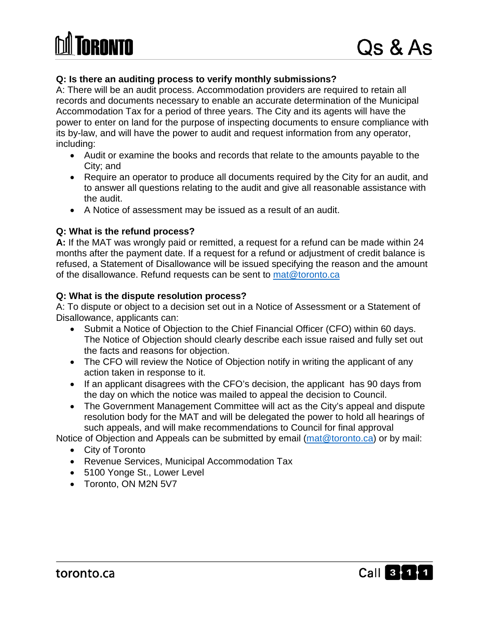

### **Q: Is there an auditing process to verify monthly submissions?**

A: There will be an audit process. Accommodation providers are required to retain all records and documents necessary to enable an accurate determination of the Municipal Accommodation Tax for a period of three years. The City and its agents will have the power to enter on land for the purpose of inspecting documents to ensure compliance with its by-law, and will have the power to audit and request information from any operator, including:

- Audit or examine the books and records that relate to the amounts payable to the City; and
- Require an operator to produce all documents required by the City for an audit, and to answer all questions relating to the audit and give all reasonable assistance with the audit.
- A Notice of assessment may be issued as a result of an audit.

#### **Q: What is the refund process?**

**A:** If the MAT was wrongly paid or remitted, a request for a refund can be made within 24 months after the payment date. If a request for a refund or adjustment of credit balance is refused, a Statement of Disallowance will be issued specifying the reason and the amount of the disallowance. Refund requests can be sent to [mat@toronto.ca](mailto:mat@toronto.ca)

#### **Q: What is the dispute resolution process?**

A: To dispute or object to a decision set out in a Notice of Assessment or a Statement of Disallowance, applicants can:

- Submit a Notice of Objection to the Chief Financial Officer (CFO) within 60 days. The Notice of Objection should clearly describe each issue raised and fully set out the facts and reasons for objection.
- The CFO will review the Notice of Objection notify in writing the applicant of any action taken in response to it.
- If an applicant disagrees with the CFO's decision, the applicant has 90 days from the day on which the notice was mailed to appeal the decision to Council.
- The Government Management Committee will act as the City's appeal and dispute resolution body for the MAT and will be delegated the power to hold all hearings of such appeals, and will make recommendations to Council for final approval

Notice of Objection and Appeals can be submitted by email [\(mat@toronto.ca\)](mailto:mat@toronto.ca) or by mail:

- City of Toronto
- Revenue Services, Municipal Accommodation Tax
- 5100 Yonge St., Lower Level
- Toronto, ON M2N 5V7